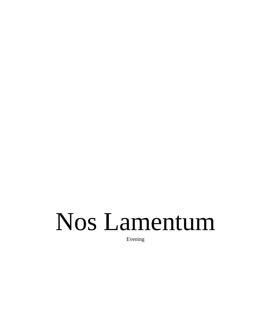# Nos Lamentum

Evening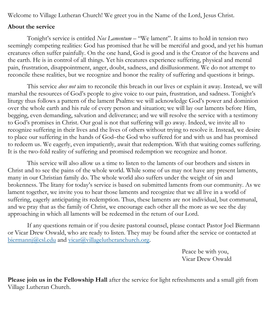Welcome to Village Lutheran Church! We greet you in the Name of the Lord, Jesus Christ.

#### **About the service**

Tonight's service is entitled *Nos Lamentum* – "We lament". It aims to hold in tension two seemingly competing realities: God has promised that he will be merciful and good, and yet his human creatures often suffer painfully. On the one hand, God is good and is the Creator of the heavens and the earth. He is in control of all things. Yet his creatures experience suffering, physical and mental pain, frustration, disappointment, anger, doubt, sadness, and disillusionment. We do not attempt to reconcile these realities, but we recognize and honor the reality of suffering and questions it brings.

This service *does not* aim to reconcile this breach in our lives or explain it away. Instead, we will marshal the resources of God's people to give voice to our pain, frustration, and sadness. Tonight's liturgy thus follows a pattern of the lament Psalms: we will acknowledge God's power and dominion over the whole earth and his rule of every person and situation; we will lay our laments before Him, begging, even demanding, salvation and deliverance; and we will resolve the service with a testimony to God's promises in Christ. Our goal is not that suffering will go away. Indeed, we invite all to recognize suffering in their lives and the lives of others without trying to resolve it. Instead, we desire to place our suffering in the hands of God–the God who suffered for and with us and has promised to redeem us. We eagerly, even impatiently, await that redemption. With that waiting comes suffering. It is the two-fold reality of suffering and promised redemption we recognize and honor.

This service will also allow us a time to listen to the laments of our brothers and sisters in Christ and to see the pains of the whole world. While some of us may not have any present laments, many in our Christian family do. The whole world also suffers under the weight of sin and brokenness. The litany for today's service is based on submitted laments from our community. As we lament together, we invite you to hear those laments and recognize that we all live in a world of suffering, eagerly anticipating its redemption. Thus, these laments are not individual, but communal, and we pray that as the family of Christ, we encourage each other all the more as we see the day approaching in which all laments will be redeemed in the return of our Lord.

If any questions remain or if you desire pastoral counsel, please contact Pastor Joel Biermann or Vicar Drew Oswald, who are ready to listen. They may be found after the service or contacted at [biermannj@csl.edu](mailto:biermannj@csl.edu) and [vicar@villagelutheranchurch.org.](mailto:vicar@villagelutheranchurch.org)

> Peace be with you, Vicar Drew Oswald

**Please join us in the Fellowship Hall** after the service for light refreshments and a small gift from Village Lutheran Church.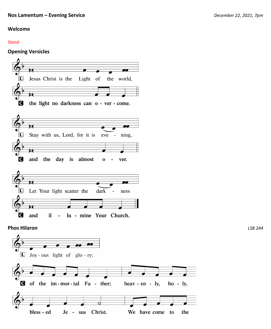**LSB 244** 

#### Welcome

#### **Stand**

#### **Opening Versicles**

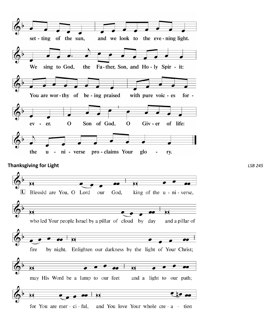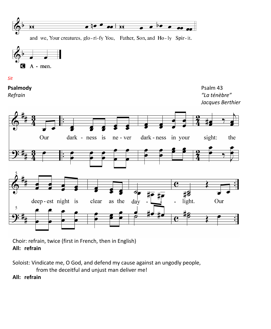

and we, Your creatures, glo-ri-fy You, Father, Son, and Ho-ly Spir-it.



#### *Sit*

**Psalmody Psalm 43** *Refrain "La ténèbre" Jacques Berthier* 



Choir: refrain, twice (first in French, then in English) **All: refrain** 

Soloist: Vindicate me, O God, and defend my cause against an ungodly people, from the deceitful and unjust man deliver me! **All: refrain**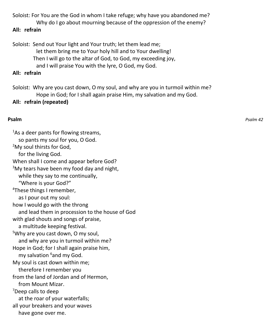Soloist: For You are the God in whom I take refuge; why have you abandoned me? Why do I go about mourning because of the oppression of the enemy?

#### **All: refrain**

Soloist: Send out Your light and Your truth; let them lead me;

let them bring me to Your holy hill and to Your dwelling!

Then I will go to the altar of God, to God, my exceeding joy,

and I will praise You with the lyre, O God, my God.

## **All: refrain**

Soloist: Why are you cast down, O my soul, and why are you in turmoil within me? Hope in God; for I shall again praise Him, my salvation and my God.

# **All: refrain (repeated)**

## **Psalm** *Psalm 42*

<sup>1</sup>As a deer pants for flowing streams, so pants my soul for you, O God. <sup>2</sup>My soul thirsts for God, for the living God. When shall I come and appear before God?  $3$ My tears have been my food day and night, while they say to me continually, "Where is your God?" <sup>4</sup>These things I remember, as I pour out my soul: how I would go with the throng and lead them in procession to the house of God with glad shouts and songs of praise, a multitude keeping festival. <sup>5</sup>Why are you cast down, O my soul, and why are you in turmoil within me? Hope in God; for I shall again praise him, my salvation <sup>6</sup>and my God. My soul is cast down within me; therefore I remember you from the land of Jordan and of Hermon, from Mount Mizar. <sup>7</sup>Deep calls to deep at the roar of your waterfalls; all your breakers and your waves have gone over me.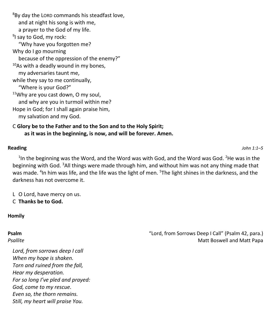<sup>8</sup>By day the LORD commands his steadfast love, and at night his song is with me, a prayer to the God of my life. <sup>9</sup>I say to God, my rock: "Why have you forgotten me? Why do I go mourning because of the oppression of the enemy?"  $10A$ s with a deadly wound in my bones, my adversaries taunt me, while they say to me continually, "Where is your God?" <sup>11</sup>Why are you cast down, O my soul, and why are you in turmoil within me? Hope in God; for I shall again praise him, my salvation and my God.

#### C **Glory be to the Father and to the Son and to the Holy Spirit; as it was in the beginning, is now, and will be forever. Amen.**

**Reading** *John 1:1–5*

 $<sup>1</sup>$ In the beginning was the Word, and the Word was with God, and the Word was God. <sup>2</sup>He was in the</sup> beginning with God. <sup>3</sup>All things were made through him, and without him was not any thing made that was made. <sup>4</sup>In him was life, and the life was the light of men. <sup>5</sup>The light shines in the darkness, and the darkness has not overcome it.

L O Lord, have mercy on us. C **Thanks be to God.** 

#### **Homily**

*Lord, from sorrows deep I call When my hope is shaken. Torn and ruined from the fall, Hear my desperation. For so long I've pled and prayed: God, come to my rescue. Even so, the thorn remains. Still, my heart will praise You.*

**Psalm Property Contains Contains a Control of Call** (Psalm 42, para.) The method of the control of the control of the control of the control of the control of the control of the control of the control of the control of **Psallite** Matt Boswell and Matt Papa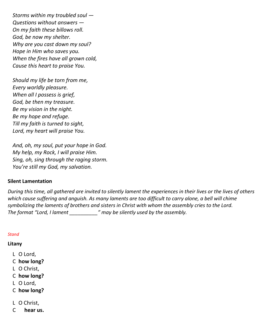*Storms within my troubled soul — Questions without answers — On my faith these billows roll. God, be now my shelter. Why are you cast down my soul? Hope in Him who saves you. When the fires have all grown cold, Cause this heart to praise You.*

*Should my life be torn from me, Every worldly pleasure. When all I possess is grief, God, be then my treasure. Be my vision in the night. Be my hope and refuge. Till my faith is turned to sight, Lord, my heart will praise You.*

*And, oh, my soul, put your hope in God. My help, my Rock, I will praise Him. Sing, oh, sing through the raging storm. You're still my God, my salvation.* 

#### **Silent Lamentation**

*During this time, all gathered are invited to silently lament the experiences in their lives or the lives of others which cause suffering and anguish. As many laments are too difficult to carry alone, a bell will chime symbolizing the laments of brothers and sisters in Christ with whom the assembly cries to the Lord. The format "Lord, I lament \_\_\_\_\_\_\_\_\_\_" may be silently used by the assembly.*

#### *Stand*

#### **Litany**

- L O Lord,
- C **how long?**
- L O Christ,
- C **how long?**
- L O Lord,
- C **how long?**
- L O Christ,
- C **hear us.**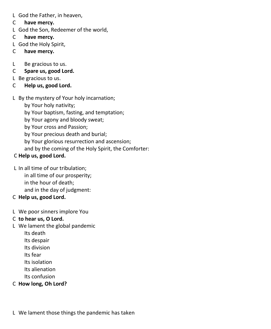- L God the Father, in heaven,
- C **have mercy.**
- L God the Son, Redeemer of the world,
- C **have mercy.**
- L God the Holy Spirit,
- C **have mercy.**
- L Be gracious to us.
- C **Spare us, good Lord.**
- L Be gracious to us.
- C **Help us, good Lord.**
- L By the mystery of Your holy incarnation;
	- by Your holy nativity;
	- by Your baptism, fasting, and temptation;
	- by Your agony and bloody sweat;
	- by Your cross and Passion;
	- by Your precious death and burial;
	- by Your glorious resurrection and ascension;
	- and by the coming of the Holy Spirit, the Comforter:

# C **Help us, good Lord.**

- L In all time of our tribulation; in all time of our prosperity;
	- in the hour of death;
	- and in the day of judgment:
- C **Help us, good Lord.**
- L We poor sinners implore You
- C **to hear us, O Lord.**
- L We lament the global pandemic
	- Its death
	- Its despair
	- Its division
	- Its fear
	- Its isolation
	- Its alienation
	- Its confusion
- C **How long, Oh Lord?**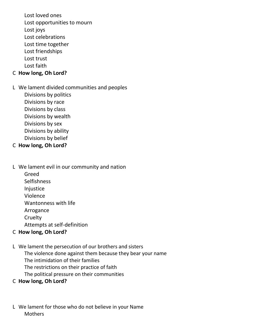Lost loved ones Lost opportunities to mourn Lost joys Lost celebrations Lost time together Lost friendships Lost trust Lost faith

#### C **How long, Oh Lord?**

L We lament divided communities and peoples

Divisions by politics Divisions by race Divisions by class Divisions by wealth Divisions by sex Divisions by ability Divisions by belief

#### C **How long, Oh Lord?**

L We lament evil in our community and nation Greed

> **Selfishness Injustice** Violence Wantonness with life

Arrogance

**Cruelty** 

Attempts at self-definition

#### C **How long, Oh Lord?**

L We lament the persecution of our brothers and sisters The violence done against them because they bear your name The intimidation of their families The restrictions on their practice of faith The political pressure on their communities

#### C **How long, Oh Lord?**

L We lament for those who do not believe in your Name **Mothers**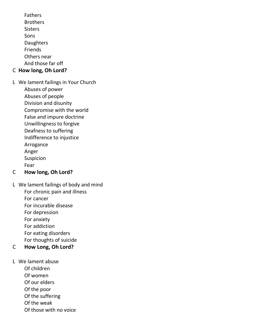Fathers **Brothers** Sisters Sons Daughters Friends Others near And those far off

## C **How long, Oh Lord?**

L We lament failings in Your Church

Abuses of power

Abuses of people

Division and disunity

Compromise with the world

False and impure doctrine

Unwillingness to forgive

Deafness to suffering

Indifference to injustice

Arrogance

Anger

Suspicion

Fear

#### C **How long, Oh Lord?**

L We lament failings of body and mind For chronic pain and illness For cancer

For incurable disease

For depression

For anxiety

For addiction

For eating disorders

For thoughts of suicide

# C **How Long, Oh Lord?**

L We lament abuse

Of children

Of women

Of our elders

Of the poor

Of the suffering

Of the weak

Of those with no voice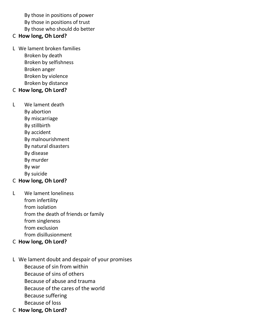By those in positions of power By those in positions of trust By those who should do better

#### C **How long, Oh Lord?**

L We lament broken families Broken by death Broken by selfishness Broken anger Broken by violence Broken by distance

# C **How long, Oh Lord?**

L We lament death

- By abortion
- By miscarriage
- By stillbirth
- By accident
- By malnourishment
- By natural disasters
- By disease
- By murder
- By war
- By suicide

## C **How long, Oh Lord?**

L We lament loneliness from infertility from isolation from the death of friends or family from singleness from exclusion from disillusionment

## C **How long, Oh Lord?**

- L We lament doubt and despair of your promises Because of sin from within Because of sins of others Because of abuse and trauma Because of the cares of the world Because suffering Because of loss
- C **How long, Oh Lord?**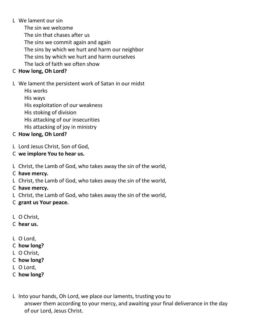#### L We lament our sin

The sin we welcome The sin that chases after us The sins we commit again and again The sins by which we hurt and harm our neighbor The sins by which we hurt and harm ourselves The lack of faith we often show

# C **How long, Oh Lord?**

#### L We lament the persistent work of Satan in our midst

His works His ways His exploitation of our weakness His stoking of division His attacking of our insecurities His attacking of joy in ministry

# C **How long, Oh Lord?**

- L Lord Jesus Christ, Son of God,
- C **we implore You to hear us.**
- L Christ, the Lamb of God, who takes away the sin of the world,
- C **have mercy.**
- L Christ, the Lamb of God, who takes away the sin of the world,
- C **have mercy.**
- L Christ, the Lamb of God, who takes away the sin of the world,
- C **grant us Your peace.**
- L O Christ,
- C **hear us.**
- L O Lord,
- C **how long?**
- L O Christ,
- C **how long?**
- L O Lord,
- C **how long?**
- L Into your hands, Oh Lord, we place our laments, trusting you to answer them according to your mercy, and awaiting your final deliverance in the day of our Lord, Jesus Christ.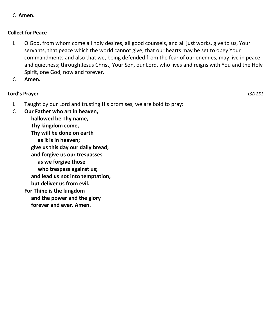#### C **Amen.**

#### **Collect for Peace**

- L O God, from whom come all holy desires, all good counsels, and all just works, give to us, Your servants, that peace which the world cannot give, that our hearts may be set to obey Your commandments and also that we, being defended from the fear of our enemies, may live in peace and quietness; through Jesus Christ, Your Son, our Lord, who lives and reigns with You and the Holy Spirit, one God, now and forever.
- C **Amen.**

#### **Lord's Prayer** *LSB 251*

- L Taught by our Lord and trusting His promises, we are bold to pray:
- C **Our Father who art in heaven,**

 **hallowed be Thy name, Thy kingdom come, Thy will be done on earth as it is in heaven; give us this day our daily bread; and forgive us our trespasses as we forgive those who trespass against us; and lead us not into temptation, but deliver us from evil. For Thine is the kingdom and the power and the glory forever and ever. Amen.**